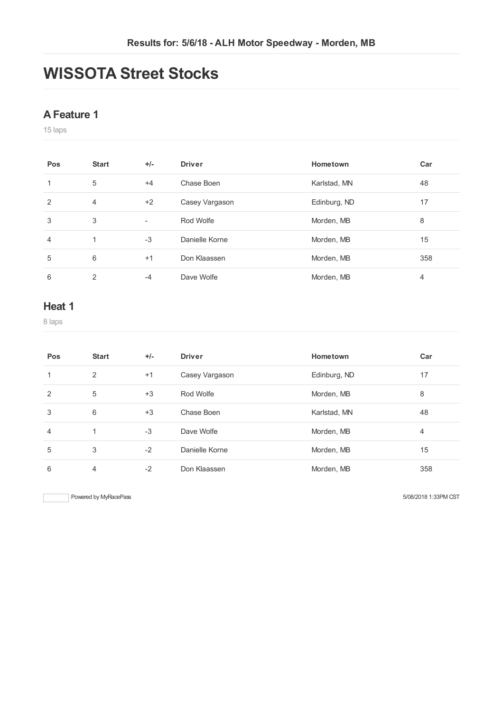# **WISSOTA Street Stocks**

#### **AFeature 1**

laps

| Pos | <b>Start</b> | $+/-$                    | <b>Driver</b>  | Hometown     | Car |
|-----|--------------|--------------------------|----------------|--------------|-----|
|     | 5            | $+4$                     | Chase Boen     | Karlstad, MN | 48  |
| 2   | 4            | $+2$                     | Casey Vargason | Edinburg, ND | 17  |
| 3   | 3            | $\overline{\phantom{a}}$ | Rod Wolfe      | Morden, MB   | 8   |
| 4   | 1            | $-3$                     | Danielle Korne | Morden, MB   | 15  |
| 5   | 6            | $+1$                     | Don Klaassen   | Morden, MB   | 358 |
| 6   | 2            | $-4$                     | Dave Wolfe     | Morden, MB   | 4   |

### **Heat 1**

laps

| Pos            | <b>Start</b> | $+/-$ | <b>Driver</b>  | Hometown     | Car |
|----------------|--------------|-------|----------------|--------------|-----|
| 1              | 2            | $+1$  | Casey Vargason | Edinburg, ND | 17  |
| 2              | 5            | $+3$  | Rod Wolfe      | Morden, MB   | 8   |
| 3              | 6            | $+3$  | Chase Boen     | Karlstad, MN | 48  |
| $\overline{4}$ | $\mathbf{1}$ | $-3$  | Dave Wolfe     | Morden, MB   | 4   |
| 5              | 3            | $-2$  | Danielle Korne | Morden, MB   | 15  |
| 6              | 4            | $-2$  | Don Klaassen   | Morden, MB   | 358 |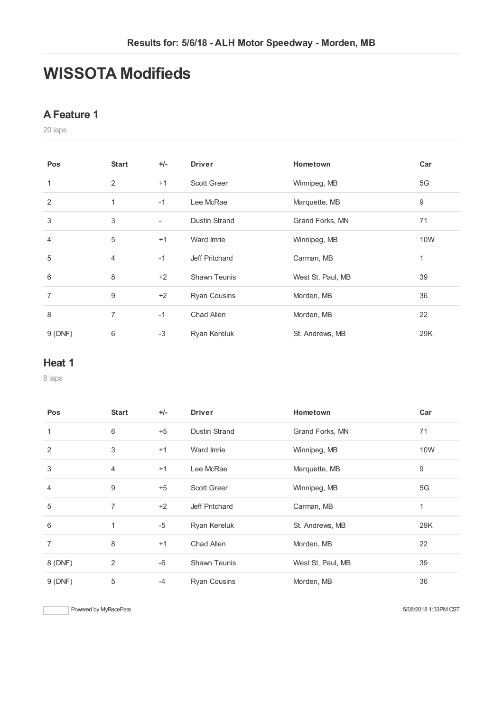# **WISSOTA Modifieds**

#### **AFeature 1**

laps

| <b>Pos</b>     | <b>Start</b> | $+/-$ | <b>Driver</b>        | Hometown          | Car          |
|----------------|--------------|-------|----------------------|-------------------|--------------|
| 1              | 2            | $+1$  | <b>Scott Greer</b>   | Winnipeg, MB      | 5G           |
| $\overline{2}$ | 1            | $-1$  | Lee McRae            | Marquette, MB     | 9            |
| 3              | 3            | -     | <b>Dustin Strand</b> | Grand Forks, MN   | 71           |
| 4              | 5            | $+1$  | Ward Imrie           | Winnipeg, MB      | 10W          |
| 5              | 4            | $-1$  | Jeff Pritchard       | Carman, MB        | $\mathbf{1}$ |
| 6              | 8            | $+2$  | <b>Shawn Teunis</b>  | West St. Paul, MB | 39           |
| $\overline{7}$ | 9            | $+2$  | <b>Ryan Cousins</b>  | Morden, MB        | 36           |
| 8              | 7            | $-1$  | Chad Allen           | Morden, MB        | 22           |
| 9(DNF)         | 6            | $-3$  | Ryan Kereluk         | St. Andrews, MB   | 29K          |

#### **Heat 1**

laps

| Pos     | <b>Start</b>   | $+/-$ | <b>Driver</b>        | <b>Hometown</b>   | Car |
|---------|----------------|-------|----------------------|-------------------|-----|
| 1       | 6              | $+5$  | <b>Dustin Strand</b> | Grand Forks, MN   | 71  |
| 2       | 3              | $+1$  | Ward Imrie           | Winnipeg, MB      | 10W |
| 3       | 4              | $+1$  | Lee McRae            | Marquette, MB     | 9   |
| 4       | 9              | $+5$  | <b>Scott Greer</b>   | Winnipeg, MB      | 5G  |
| 5       | $\overline{7}$ | $+2$  | Jeff Pritchard       | Carman, MB        | 1   |
| 6       | 1              | $-5$  | Ryan Kereluk         | St. Andrews, MB   | 29K |
| 7       | 8              | $+1$  | Chad Allen           | Morden, MB        | 22  |
| 8 (DNF) | 2              | $-6$  | <b>Shawn Teunis</b>  | West St. Paul, MB | 39  |
| 9(DNF)  | 5              | $-4$  | <b>Ryan Cousins</b>  | Morden, MB        | 36  |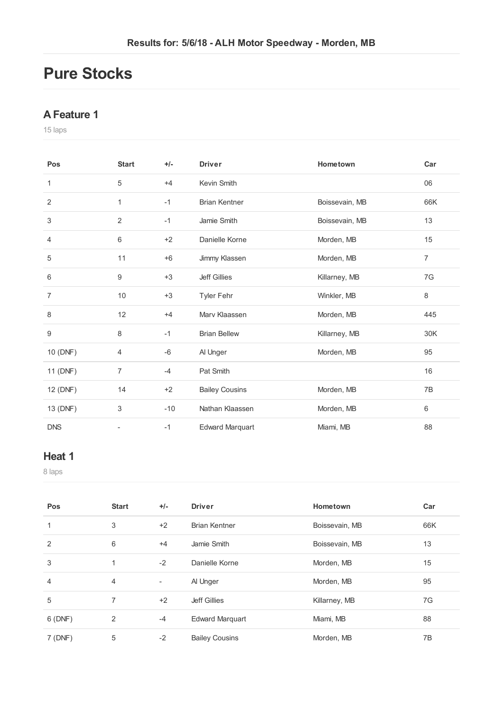# **Pure Stocks**

## **AFeature 1**

laps

| Pos            | <b>Start</b>   | $+/-$ | <b>Driver</b>          | Hometown       | Car |
|----------------|----------------|-------|------------------------|----------------|-----|
| 1              | 5              | $+4$  | Kevin Smith            |                | 06  |
| $\overline{2}$ | 1              | $-1$  | <b>Brian Kentner</b>   | Boissevain, MB | 66K |
| 3              | 2              | $-1$  | Jamie Smith            | Boissevain, MB | 13  |
| 4              | 6              | $+2$  | Danielle Korne         | Morden, MB     | 15  |
| 5              | 11             | $+6$  | Jimmy Klassen          | Morden, MB     | 7   |
| 6              | 9              | $+3$  | <b>Jeff Gillies</b>    | Killarney, MB  | 7G  |
| $\overline{7}$ | 10             | $+3$  | Tyler Fehr             | Winkler, MB    | 8   |
| 8              | 12             | $+4$  | Mary Klaassen          | Morden, MB     | 445 |
| 9              | 8              | $-1$  | <b>Brian Bellew</b>    | Killarney, MB  | 30K |
| 10 (DNF)       | 4              | $-6$  | Al Unger               | Morden, MB     | 95  |
| 11 (DNF)       | $\overline{7}$ | $-4$  | Pat Smith              |                | 16  |
| 12 (DNF)       | 14             | $+2$  | <b>Bailey Cousins</b>  | Morden, MB     | 7B  |
| 13 (DNF)       | 3              | $-10$ | Nathan Klaassen        | Morden, MB     | 6   |
| <b>DNS</b>     |                | $-1$  | <b>Edward Marquart</b> | Miami, MB      | 88  |

## **Heat 1**

laps

| Pos            | <b>Start</b>   | $+/-$ | <b>Driver</b>          | Hometown       | Car |
|----------------|----------------|-------|------------------------|----------------|-----|
| 1              | 3              | $+2$  | <b>Brian Kentner</b>   | Boissevain, MB | 66K |
| $\overline{2}$ | 6              | $+4$  | Jamie Smith            | Boissevain, MB | 13  |
| 3              | 1              | $-2$  | Danielle Korne         | Morden, MB     | 15  |
| 4              | $\overline{4}$ | ٠     | Al Unger               | Morden, MB     | 95  |
| 5              | 7              | $+2$  | <b>Jeff Gillies</b>    | Killarney, MB  | 7G  |
| 6(DNF)         | 2              | $-4$  | <b>Edward Marquart</b> | Miami, MB      | 88  |
| 7(DNF)         | 5              | $-2$  | <b>Bailey Cousins</b>  | Morden, MB     | 7B  |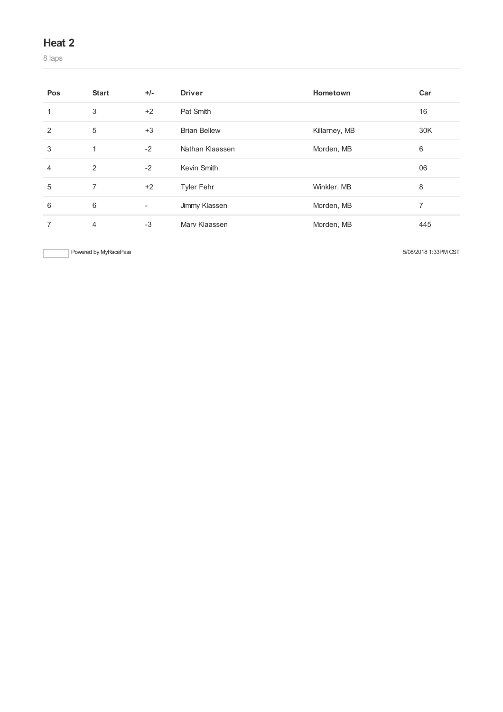### **Heat 2**

laps

| Pos | <b>Start</b>   | $+/-$                    | <b>Driver</b>       | Hometown      | Car |
|-----|----------------|--------------------------|---------------------|---------------|-----|
|     | 3              | $+2$                     | Pat Smith           |               | 16  |
| 2   | 5              | $+3$                     | <b>Brian Bellew</b> | Killarney, MB | 30K |
| 3   | 1              | $-2$                     | Nathan Klaassen     | Morden, MB    | 6   |
| 4   | 2              | $-2$                     | Kevin Smith         |               | 06  |
| 5   | $\overline{7}$ | $+2$                     | <b>Tyler Fehr</b>   | Winkler, MB   | 8   |
| 6   | 6              | $\overline{\phantom{a}}$ | Jimmy Klassen       | Morden, MB    | 7   |
|     | $\overline{4}$ | $-3$                     | Mary Klaassen       | Morden, MB    | 445 |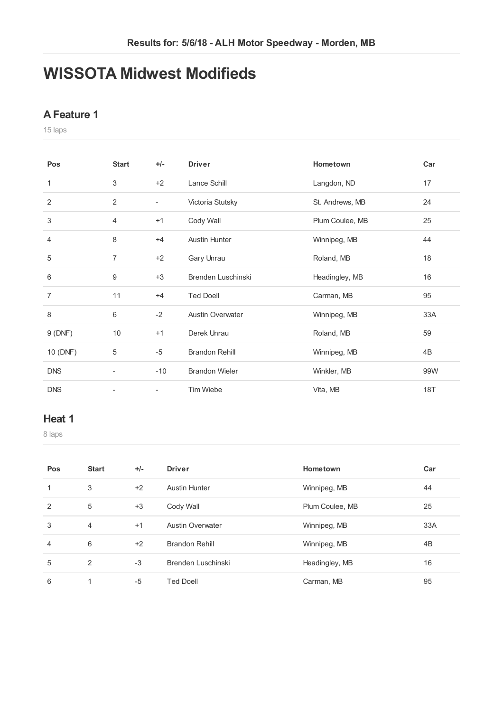# **WISSOTA Midwest Modifieds**

## **AFeature 1**

laps

| Pos            | <b>Start</b>   | $+/-$                    | <b>Driver</b>           | Hometown        | Car        |
|----------------|----------------|--------------------------|-------------------------|-----------------|------------|
| 1              | 3              | $+2$                     | Lance Schill            | Langdon, ND     | 17         |
| 2              | 2              | $\overline{\phantom{a}}$ | Victoria Stutsky        | St. Andrews, MB | 24         |
| 3              | 4              | $+1$                     | Cody Wall               | Plum Coulee, MB | 25         |
| $\overline{4}$ | 8              | $+4$                     | <b>Austin Hunter</b>    | Winnipeg, MB    | 44         |
| 5              | $\overline{7}$ | $+2$                     | Gary Unrau              | Roland, MB      | 18         |
| 6              | 9              | $+3$                     | Brenden Luschinski      | Headingley, MB  | 16         |
| $\overline{7}$ | 11             | $+4$                     | <b>Ted Doell</b>        | Carman, MB      | 95         |
| 8              | 6              | $-2$                     | <b>Austin Overwater</b> | Winnipeg, MB    | 33A        |
| 9(DNF)         | 10             | $+1$                     | Derek Unrau             | Roland, MB      | 59         |
| 10 (DNF)       | 5              | $-5$                     | <b>Brandon Rehill</b>   | Winnipeg, MB    | 4B         |
| <b>DNS</b>     | -              | $-10$                    | <b>Brandon Wieler</b>   | Winkler, MB     | 99W        |
| <b>DNS</b>     | -              | $\overline{\phantom{a}}$ | Tim Wiebe               | Vita, MB        | <b>18T</b> |

### **Heat 1**

laps

| Pos | <b>Start</b>   | $+/-$ | <b>Driver</b>           | Hometown        | Car |
|-----|----------------|-------|-------------------------|-----------------|-----|
| 1   | 3              | $+2$  | <b>Austin Hunter</b>    | Winnipeg, MB    | 44  |
| 2   | 5              | $+3$  | Cody Wall               | Plum Coulee, MB | 25  |
| 3   | $\overline{4}$ | $+1$  | <b>Austin Overwater</b> | Winnipeg, MB    | 33A |
| 4   | 6              | $+2$  | <b>Brandon Rehill</b>   | Winnipeg, MB    | 4B  |
| 5   | 2              | $-3$  | Brenden Luschinski      | Headingley, MB  | 16  |
| 6   | ◢              | $-5$  | Ted Doell               | Carman, MB      | 95  |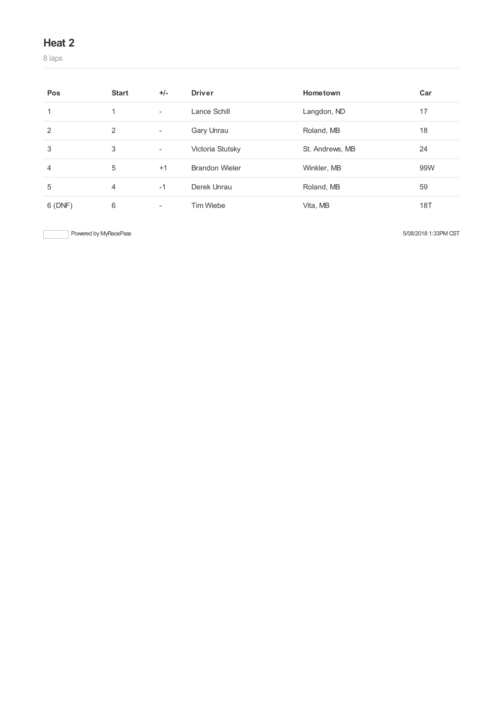### **Heat 2**

laps

| Pos    | <b>Start</b> | $+/-$                    | <b>Driver</b>         | Hometown        | Car |
|--------|--------------|--------------------------|-----------------------|-----------------|-----|
|        |              | $\overline{\phantom{a}}$ | Lance Schill          | Langdon, ND     | 17  |
| 2      | 2            | ٠                        | Gary Unrau            | Roland, MB      | 18  |
| 3      | 3            | ٠                        | Victoria Stutsky      | St. Andrews, MB | 24  |
| 4      | 5            | $+1$                     | <b>Brandon Wieler</b> | Winkler, MB     | 99W |
| 5      | 4            | $-1$                     | Derek Unrau           | Roland, MB      | 59  |
| 6(DNF) | 6            | ۰                        | Tim Wiebe             | Vita, MB        | 18T |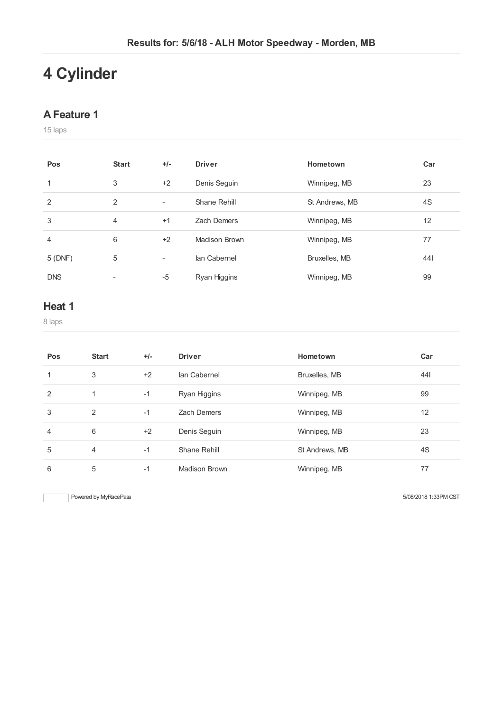# **Cylinder**

#### **AFeature 1**

laps

| Pos        | <b>Start</b>   | $+/-$                    | <b>Driver</b> | Hometown       | Car |
|------------|----------------|--------------------------|---------------|----------------|-----|
| 1          | 3              | $+2$                     | Denis Seguin  | Winnipeg, MB   | 23  |
| 2          | 2              | $\overline{\phantom{a}}$ | Shane Rehill  | St Andrews, MB | 4S  |
| 3          | $\overline{4}$ | $+1$                     | Zach Demers   | Winnipeg, MB   | 12  |
| 4          | 6              | $+2$                     | Madison Brown | Winnipeg, MB   | 77  |
| 5(DNF)     | 5              | -                        | lan Cabernel  | Bruxelles, MB  | 441 |
| <b>DNS</b> |                | $-5$                     | Ryan Higgins  | Winnipeg, MB   | 99  |

### **Heat 1**

laps

| Pos            | <b>Start</b>   | $+/-$ | <b>Driver</b>      | Hometown       | Car |
|----------------|----------------|-------|--------------------|----------------|-----|
| 1              | 3              | $+2$  | lan Cabernel       | Bruxelles, MB  | 441 |
| 2              | 1              | $-1$  | Ryan Higgins       | Winnipeg, MB   | 99  |
| 3              | 2              | $-1$  | <b>Zach Demers</b> | Winnipeg, MB   | 12  |
| $\overline{4}$ | 6              | $+2$  | Denis Seguin       | Winnipeg, MB   | 23  |
| 5              | $\overline{4}$ | $-1$  | Shane Rehill       | St Andrews, MB | 4S  |
| 6              | 5              | $-1$  | Madison Brown      | Winnipeg, MB   | 77  |